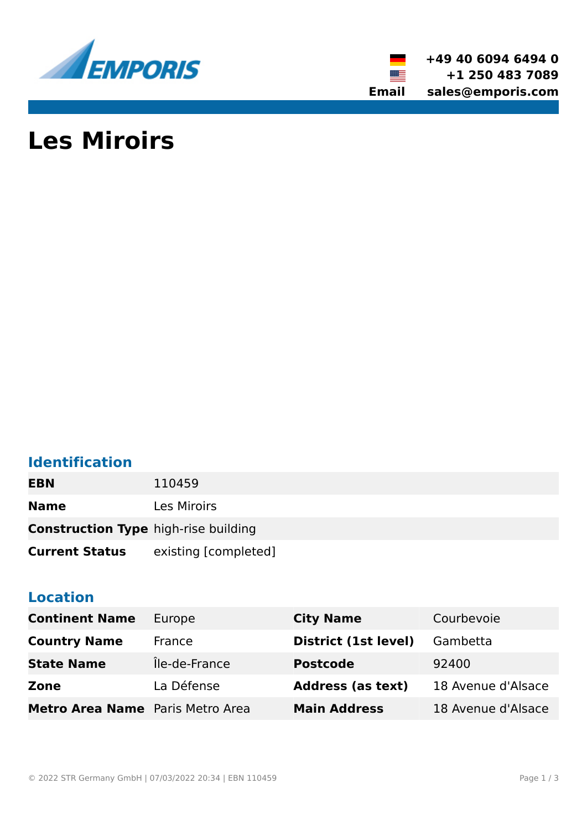

**+49 40 6094 6494 0 +1 250 483 7089 Email sales@emporis.com**

# **Les Miroirs**

# **Identification**

| <b>EBN</b>                                  | 110459               |
|---------------------------------------------|----------------------|
| <b>Name</b>                                 | <b>Les Miroirs</b>   |
| <b>Construction Type high-rise building</b> |                      |
| <b>Current Status</b>                       | existing [completed] |

## **Location**

| <b>Continent Name</b>                   | Europe        | <b>City Name</b>         | Courbevoie         |
|-----------------------------------------|---------------|--------------------------|--------------------|
| <b>Country Name</b>                     | France        | District (1st level)     | Gambetta           |
| <b>State Name</b>                       | Île-de-France | <b>Postcode</b>          | 92400              |
| Zone                                    | La Défense    | <b>Address (as text)</b> | 18 Avenue d'Alsace |
| <b>Metro Area Name</b> Paris Metro Area |               | <b>Main Address</b>      | 18 Avenue d'Alsace |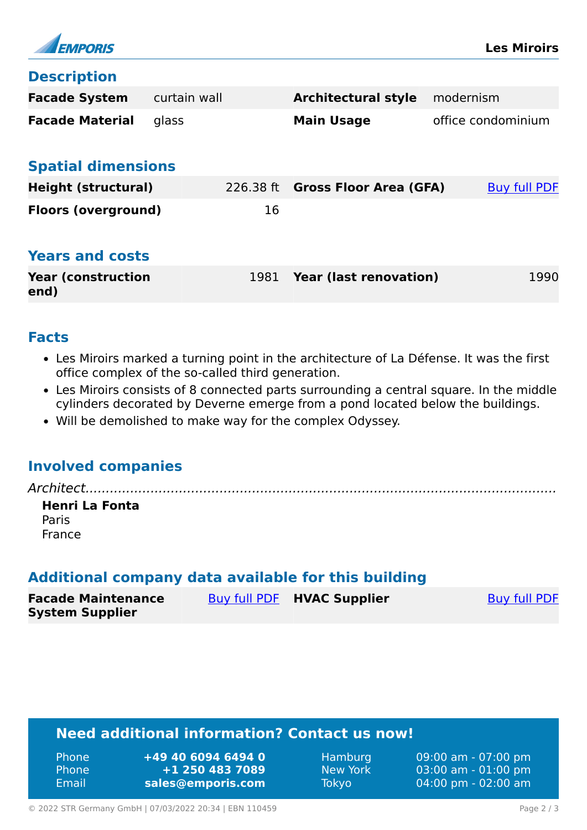

#### **Description**

| <b>Facade System</b>              | curtain wall |             | <b>Architectural style</b>    | modernism          |
|-----------------------------------|--------------|-------------|-------------------------------|--------------------|
| <b>Facade Material</b>            | glass        |             | <b>Main Usage</b>             | office condominium |
| <b>Spatial dimensions</b>         |              |             |                               |                    |
| <b>Height (structural)</b>        |              | $226.38$ ft | <b>Gross Floor Area (GFA)</b> | Buy full PDF       |
| <b>Floors (overground)</b>        |              | 16          |                               |                    |
| <b>Years and costs</b>            |              |             |                               |                    |
| <b>Year (construction</b><br>end) |              | 1981        | <b>Year (last renovation)</b> | 1990               |

#### **Facts**

- Les Miroirs marked a turning point in the architecture of La Défense. It was the first office complex of the so-called third generation.
- Les Miroirs consists of 8 connected parts surrounding a central square. In the middle cylinders decorated by Deverne emerge from a pond located below the buildings.
- Will be demolished to make way for the complex Odyssey.

### **Involved companies**

*Architect....................................................................................................................*

**Henri La Fonta** Paris France

### **Additional company data available for this building**

| <b>Facade Maintenance</b> | Buy full PDF HVAC Supplier | <b>Buy full PDF</b> |
|---------------------------|----------------------------|---------------------|
| <b>System Supplier</b>    |                            |                     |

# **Need additional information? Contact us now!**

| <b>Phone</b> | +49 40 6094 6494 0 |
|--------------|--------------------|
| <b>Phone</b> | +1 250 483 7089    |
| Email        | sales@emporis.com  |

Hamburg 09:00 am - 07:00 pm New York 03:00 am - 01:00 pm Tokyo 04:00 pm - 02:00 am